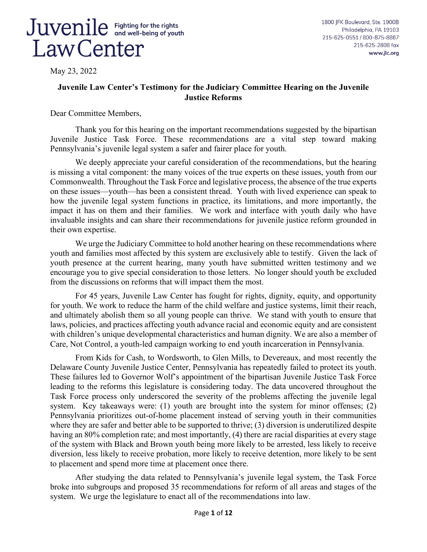# $Juvenile$  Fighting for the rights **LawCenter**

May 23, 2022

## **Juvenile Law Center's Testimony for the Judiciary Committee Hearing on the Juvenile Justice Reforms**

Dear Committee Members,

Thank you for this hearing on the important recommendations suggested by the bipartisan Juvenile Justice Task Force. These recommendations are a vital step toward making Pennsylvania's juvenile legal system a safer and fairer place for youth.

We deeply appreciate your careful consideration of the recommendations, but the hearing is missing a vital component: the many voices of the true experts on these issues, youth from our Commonwealth. Throughout the Task Force and legislative process, the absence of the true experts on these issues—youth—has been a consistent thread. Youth with lived experience can speak to how the juvenile legal system functions in practice, its limitations, and more importantly, the impact it has on them and their families. We work and interface with youth daily who have invaluable insights and can share their recommendations for juvenile justice reform grounded in their own expertise.

We urge the Judiciary Committee to hold another hearing on these recommendations where youth and families most affected by this system are exclusively able to testify. Given the lack of youth presence at the current hearing, many youth have submitted written testimony and we encourage you to give special consideration to those letters. No longer should youth be excluded from the discussions on reforms that will impact them the most.

For 45 years, Juvenile Law Center has fought for rights, dignity, equity, and opportunity for youth. We work to reduce the harm of the child welfare and justice systems, limit their reach, and ultimately abolish them so all young people can thrive. We stand with youth to ensure that laws, policies, and practices affecting youth advance racial and economic equity and are consistent with children's unique developmental characteristics and human dignity. We are also a member of Care, Not Control, a youth-led campaign working to end youth incarceration in Pennsylvania.

From Kids for Cash, to Wordsworth, to Glen Mills, to Devereaux, and most recently the Delaware County Juvenile Justice Center, Pennsylvania has repeatedly failed to protect its youth. These failures led to Governor Wolf's appointment of the bipartisan Juvenile Justice Task Force leading to the reforms this legislature is considering today. The data uncovered throughout the Task Force process only underscored the severity of the problems affecting the juvenile legal system. Key takeaways were: (1) youth are brought into the system for minor offenses; (2) Pennsylvania prioritizes out-of-home placement instead of serving youth in their communities where they are safer and better able to be supported to thrive; (3) diversion is underutilized despite having an 80% completion rate; and most importantly, (4) there are racial disparities at every stage of the system with Black and Brown youth being more likely to be arrested, less likely to receive diversion, less likely to receive probation, more likely to receive detention, more likely to be sent to placement and spend more time at placement once there.

After studying the data related to Pennsylvania's juvenile legal system, the Task Force broke into subgroups and proposed 35 recommendations for reform of all areas and stages of the system. We urge the legislature to enact all of the recommendations into law.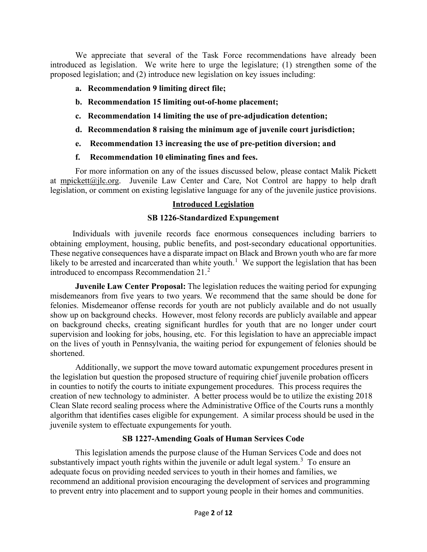We appreciate that several of the Task Force recommendations have already been introduced as legislation. We write here to urge the legislature; (1) strengthen some of the proposed legislation; and (2) introduce new legislation on key issues including:

- **a. Recommendation 9 limiting direct file;**
- **b. Recommendation 15 limiting out-of-home placement;**
- **c. Recommendation 14 limiting the use of pre-adjudication detention;**
- **d. Recommendation 8 raising the minimum age of juvenile court jurisdiction;**
- **e. Recommendation 13 increasing the use of pre-petition diversion; and**
- **f. Recommendation 10 eliminating fines and fees.**

For more information on any of the issues discussed below, please contact Malik Pickett at [mpickett@jlc.org.](mailto:mpickett@jlc.org) Juvenile Law Center and Care, Not Control are happy to help draft legislation, or comment on existing legislative language for any of the juvenile justice provisions.

## **Introduced Legislation**

## **SB 1226-Standardized Expungement**

Individuals with juvenile records face enormous consequences including barriers to obtaining employment, housing, public benefits, and post-secondary educational opportunities. These negative consequences have a disparate impact on Black and Brown youth who are far more likely to be arrested and incarcerated than white youth.<sup>[1](#page-8-0)</sup> We support the legislation that has been introduced to encompass Recommendation 21.[2](#page-8-1)

**Juvenile Law Center Proposal:** The legislation reduces the waiting period for expunging misdemeanors from five years to two years. We recommend that the same should be done for felonies. Misdemeanor offense records for youth are not publicly available and do not usually show up on background checks. However, most felony records are publicly available and appear on background checks, creating significant hurdles for youth that are no longer under court supervision and looking for jobs, housing, etc. For this legislation to have an appreciable impact on the lives of youth in Pennsylvania, the waiting period for expungement of felonies should be shortened.

Additionally, we support the move toward automatic expungement procedures present in the legislation but question the proposed structure of requiring chief juvenile probation officers in counties to notify the courts to initiate expungement procedures. This process requires the creation of new technology to administer. A better process would be to utilize the existing 2018 Clean Slate record sealing process where the Administrative Office of the Courts runs a monthly algorithm that identifies cases eligible for expungement. A similar process should be used in the juvenile system to effectuate expungements for youth.

## **SB 1227-Amending Goals of Human Services Code**

This legislation amends the purpose clause of the Human Services Code and does not substantively impact youth rights within the juvenile or adult legal system.<sup>[3](#page-8-2)</sup> To ensure an adequate focus on providing needed services to youth in their homes and families, we recommend an additional provision encouraging the development of services and programming to prevent entry into placement and to support young people in their homes and communities.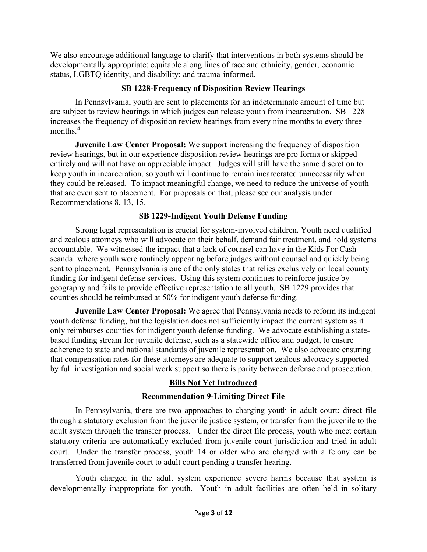We also encourage additional language to clarify that interventions in both systems should be developmentally appropriate; equitable along lines of race and ethnicity, gender, economic status, LGBTQ identity, and disability; and trauma-informed.

#### **SB 1228-Frequency of Disposition Review Hearings**

In Pennsylvania, youth are sent to placements for an indeterminate amount of time but are subject to review hearings in which judges can release youth from incarceration. SB 1228 increases the frequency of disposition review hearings from every nine months to every three months.[4](#page-8-3)

 **Juvenile Law Center Proposal:** We support increasing the frequency of disposition review hearings, but in our experience disposition review hearings are pro forma or skipped entirely and will not have an appreciable impact. Judges will still have the same discretion to keep youth in incarceration, so youth will continue to remain incarcerated unnecessarily when they could be released. To impact meaningful change, we need to reduce the universe of youth that are even sent to placement. For proposals on that, please see our analysis under Recommendations 8, 13, 15.

## **SB 1229-Indigent Youth Defense Funding**

Strong legal representation is crucial for system-involved children. Youth need qualified and zealous attorneys who will advocate on their behalf, demand fair treatment, and hold systems accountable. We witnessed the impact that a lack of counsel can have in the Kids For Cash scandal where youth were routinely appearing before judges without counsel and quickly being sent to placement. Pennsylvania is one of the only states that relies exclusively on local county funding for indigent defense services. Using this system continues to reinforce justice by geography and fails to provide effective representation to all youth. SB 1229 provides that counties should be reimbursed at 50% for indigent youth defense funding.

**Juvenile Law Center Proposal:** We agree that Pennsylvania needs to reform its indigent youth defense funding, but the legislation does not sufficiently impact the current system as it only reimburses counties for indigent youth defense funding. We advocate establishing a statebased funding stream for juvenile defense, such as a statewide office and budget, to ensure adherence to state and national standards of juvenile representation. We also advocate ensuring that compensation rates for these attorneys are adequate to support zealous advocacy supported by full investigation and social work support so there is parity between defense and prosecution.

## **Bills Not Yet Introduced**

## **Recommendation 9-Limiting Direct File**

In Pennsylvania, there are two approaches to charging youth in adult court: direct file through a statutory exclusion from the juvenile justice system, or transfer from the juvenile to the adult system through the transfer process. Under the direct file process, youth who meet certain statutory criteria are automatically excluded from juvenile court jurisdiction and tried in adult court. Under the transfer process, youth 14 or older who are charged with a felony can be transferred from juvenile court to adult court pending a transfer hearing.

Youth charged in the adult system experience severe harms because that system is developmentally inappropriate for youth. Youth in adult facilities are often held in solitary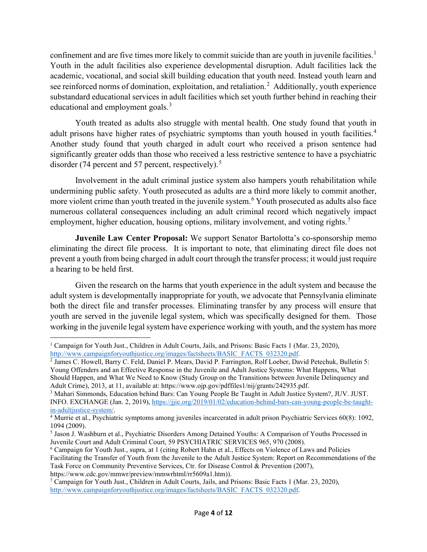confinement and are five times more likely to commit suicide than are youth in juvenile facilities.<sup>[1](#page-3-0)</sup> Youth in the adult facilities also experience developmental disruption. Adult facilities lack the academic, vocational, and social skill building education that youth need. Instead youth learn and see reinforced norms of domination, exploitation, and retaliation.<sup>[2](#page-3-1)</sup> Additionally, youth experience substandard educational services in adult facilities which set youth further behind in reaching their educational and employment goals.<sup>[3](#page-3-2)</sup>

Youth treated as adults also struggle with mental health. One study found that youth in adult prisons have higher rates of psychiatric symptoms than youth housed in youth facilities.<sup>[4](#page-3-3)</sup> Another study found that youth charged in adult court who received a prison sentence had significantly greater odds than those who received a less restrictive sentence to have a psychiatric disorder (74 percent and [5](#page-3-4)7 percent, respectively).<sup>5</sup>

Involvement in the adult criminal justice system also hampers youth rehabilitation while undermining public safety. Youth prosecuted as adults are a third more likely to commit another, more violent crime than youth treated in the juvenile system. [6](#page-3-5) Youth prosecuted as adults also face numerous collateral consequences including an adult criminal record which negatively impact employment, higher education, housing options, military involvement, and voting rights.<sup>[7](#page-3-6)</sup>

**Juvenile Law Center Proposal:** We support Senator Bartolotta's co-sponsorship memo eliminating the direct file process. It is important to note, that eliminating direct file does not prevent a youth from being charged in adult court through the transfer process; it would just require a hearing to be held first.

Given the research on the harms that youth experience in the adult system and because the adult system is developmentally inappropriate for youth, we advocate that Pennsylvania eliminate both the direct file and transfer processes. Eliminating transfer by any process will ensure that youth are served in the juvenile legal system, which was specifically designed for them. Those working in the juvenile legal system have experience working with youth, and the system has more

<span id="page-3-0"></span><sup>&</sup>lt;sup>1</sup> Campaign for Youth Just., Children in Adult Courts, Jails, and Prisons: Basic Facts 1 (Mar. 23, 2020), [http://www.campaignforyouthjustice.org/images/factsheets/BASIC\\_FACTS\\_032320.pdf.](http://www.campaignforyouthjustice.org/images/factsheets/BASIC_FACTS_032320.pdf)<br><sup>2</sup> James C. Howell, Barry C. Feld, Daniel P. Mears, David P. Farrington, Rolf Loeber, David Petechuk, Bulletin 5:

<span id="page-3-1"></span>Young Offenders and an Effective Response in the Juvenile and Adult Justice Systems: What Happens, What Should Happen, and What We Need to Know (Study Group on the Transitions between Juvenile Delinquency and Adult Crime), 2013, at 11, available at: https://www.ojp.gov/pdffiles1/nij/grants/242935.pdf.

<span id="page-3-2"></span><sup>3</sup> Mahari Simmonds, Education behind Bars: Can Young People Be Taught in Adult Justice System?, JUV. JUST. INFO. EXCHANGE (Jan. 2, 2019), https://jjie.org/2019/01/02/education-behind-bars-can-young-people-be-taught-<br>in-adultjustice-system/.

<span id="page-3-3"></span><sup>&</sup>lt;sup>4</sup> Murrie et al., Psychiatric symptoms among juveniles incarcerated in adult prison Psychiatric Services 60(8): 1092, 1094 (2009).

<span id="page-3-4"></span><sup>5</sup> Jason J. Washburn et al., Psychiatric Disorders Among Detained Youths: A Comparison of Youths Processed in Juvenile Court and Adult Criminal Court, 59 PSYCHIATRIC SERVICES 965, 970 (2008).

<span id="page-3-5"></span><sup>6</sup> Campaign for Youth Just., supra, at 1 (citing Robert Hahn et al., Effects on Violence of Laws and Policies Facilitating the Transfer of Youth from the Juvenile to the Adult Justice System: Report on Recommendations of the Task Force on Community Preventive Services, Ctr. for Disease Control & Prevention (2007),

https://www.cdc.gov/mmwr/preview/mmwrhtml/rr5609a1.htm)).

<span id="page-3-6"></span><sup>&</sup>lt;sup>7</sup> Campaign for Youth Just., Children in Adult Courts, Jails, and Prisons: Basic Facts 1 (Mar. 23, 2020), [http://www.campaignforyouthjustice.org/images/factsheets/BASIC\\_FACTS\\_032320.pdf.](http://www.campaignforyouthjustice.org/images/factsheets/BASIC_FACTS_032320.pdf)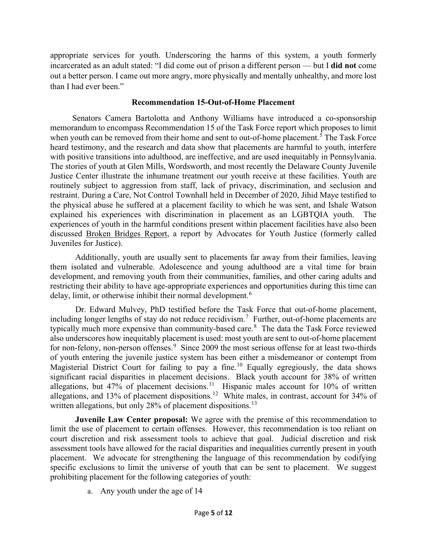appropriate services for youth. Underscoring the harms of this system, a youth formerly incarcerated as an adult stated: "I did come out of prison a different person — but I **did not** come out a better person. I came out more angry, more physically and mentally unhealthy, and more lost than I had ever been."

#### **Recommendation 15-Out-of-Home Placement**

Senators Camera Bartolotta and Anthony Williams have introduced a co-sponsorship memorandum to encompass Recommendation 15 of the Task Force report which proposes to limit when youth can be removed from their home and sent to out-of-home placement.<sup>[5](#page-8-4)</sup> The Task Force heard testimony, and the research and data show that placements are harmful to youth, interfere with positive transitions into adulthood, are ineffective, and are used inequitably in Pennsylvania. The stories of youth at Glen Mills, Wordsworth, and most recently the Delaware County Juvenile Justice Center illustrate the inhumane treatment our youth receive at these facilities. Youth are routinely subject to aggression from staff, lack of privacy, discrimination, and seclusion and restraint. During a Care, Not Control Townhall held in December of 2020, Jihid Maye testified to the physical abuse he suffered at a placement facility to which he was sent, and Ishale Watson explained his experiences with discrimination in placement as an LGBTQIA youth. The experiences of youth in the harmful conditions present within placement facilities have also been discussed [Broken Bridges Report,](https://jlc.org/sites/default/files/attachments/2018-12/2018BrokenBridges-FINAL-WEB_0.pdf) a report by Advocates for Youth Justice (formerly called Juveniles for Justice).

Additionally, youth are usually sent to placements far away from their families, leaving them isolated and vulnerable. Adolescence and young adulthood are a vital time for brain development, and removing youth from their communities, families, and other caring adults and restricting their ability to have age-appropriate experiences and opportunities during this time can delay, limit, or otherwise inhibit their normal development.<sup>[6](#page-9-0)</sup>

Dr. Edward Mulvey, PhD testified before the Task Force that out-of-home placement, including longer lengths of stay do not reduce recidivism.<sup>[7](#page-9-1)</sup> Further, out-of-home placements are typically much more expensive than community-based care.<sup>[8](#page-9-2)</sup> The data the Task Force reviewed also underscores how inequitably placement is used: most youth are sent to out-of-home placement for non-felony, non-person offenses.<sup>[9](#page-9-3)</sup> Since 2009 the most serious offense for at least two-thirds of youth entering the juvenile justice system has been either a misdemeanor or contempt from Magisterial District Court for failing to pay a fine.<sup>10</sup> Equally egregiously, the data shows significant racial disparities in placement decisions. Black youth account for 38% of written allegations, but  $47\%$  of placement decisions.<sup>11</sup> Hispanic males account for 10% of written allegations, and 13% of placement dispositions.<sup>[12](#page-9-6)</sup> White males, in contrast, account for 34% of written allegations, but only 28% of placement dispositions.<sup>[13](#page-9-7)</sup>

**Juvenile Law Center proposal:** We agree with the premise of this recommendation to limit the use of placement to certain offenses. However, this recommendation is too reliant on court discretion and risk assessment tools to achieve that goal. Judicial discretion and risk assessment tools have allowed for the racial disparities and inequalities currently present in youth placement. We advocate for strengthening the language of this recommendation by codifying specific exclusions to limit the universe of youth that can be sent to placement. We suggest prohibiting placement for the following categories of youth:

a. Any youth under the age of 14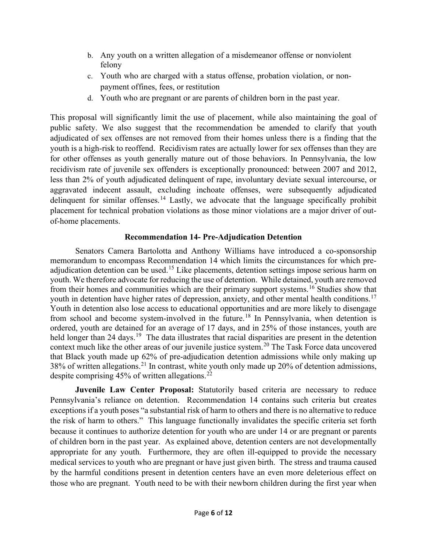- b. Any youth on a written allegation of a misdemeanor offense or nonviolent felony
- c. Youth who are charged with a status offense, probation violation, or nonpayment offines, fees, or restitution
- d. Youth who are pregnant or are parents of children born in the past year.

This proposal will significantly limit the use of placement, while also maintaining the goal of public safety. We also suggest that the recommendation be amended to clarify that youth adjudicated of sex offenses are not removed from their homes unless there is a finding that the youth is a high-risk to reoffend. Recidivism rates are actually lower for sex offenses than they are for other offenses as youth generally mature out of those behaviors. In Pennsylvania, the low recidivism rate of juvenile sex offenders is exceptionally pronounced: between 2007 and 2012, less than 2% of youth adjudicated delinquent of rape, involuntary deviate sexual intercourse, or aggravated indecent assault, excluding inchoate offenses, were subsequently adjudicated delinquent for similar offenses.<sup>[14](#page-9-8)</sup> Lastly, we advocate that the language specifically prohibit placement for technical probation violations as those minor violations are a major driver of outof-home placements.

#### **Recommendation 14- Pre-Adjudication Detention**

Senators Camera Bartolotta and Anthony Williams have introduced a co-sponsorship memorandum to encompass Recommendation 14 which limits the circumstances for which pre-adjudication detention can be used.<sup>[15](#page-9-9)</sup> Like placements, detention settings impose serious harm on youth. We therefore advocate for reducing the use of detention. While detained, youth are removed from their homes and communities which are their primary support systems.<sup>[16](#page-10-0)</sup> Studies show that youth in detention have higher rates of depression, anxiety, and other mental health conditions.<sup>[17](#page-10-1)</sup> Youth in detention also lose access to educational opportunities and are more likely to disengage from school and become system-involved in the future.<sup>[18](#page-10-2)</sup> In Pennsylvania, when detention is ordered, youth are detained for an average of 17 days, and in 25% of those instances, youth are held longer than 24 days.<sup>19</sup> The data illustrates that racial disparities are present in the detention context much like the other areas of our juvenile justice system.<sup>[20](#page-10-4)</sup> The Task Force data uncovered that Black youth made up 62% of pre-adjudication detention admissions while only making up  $38\%$  of written allegations.<sup>[21](#page-10-5)</sup> In contrast, white youth only made up 20% of detention admissions, despite comprising  $45\%$  of written allegations.<sup>[22](#page-10-6)</sup>

**Juvenile Law Center Proposal:** Statutorily based criteria are necessary to reduce Pennsylvania's reliance on detention. Recommendation 14 contains such criteria but creates exceptions if a youth poses "a substantial risk of harm to others and there is no alternative to reduce the risk of harm to others." This language functionally invalidates the specific criteria set forth because it continues to authorize detention for youth who are under 14 or are pregnant or parents of children born in the past year. As explained above, detention centers are not developmentally appropriate for any youth. Furthermore, they are often ill-equipped to provide the necessary medical services to youth who are pregnant or have just given birth. The stress and trauma caused by the harmful conditions present in detention centers have an even more deleterious effect on those who are pregnant. Youth need to be with their newborn children during the first year when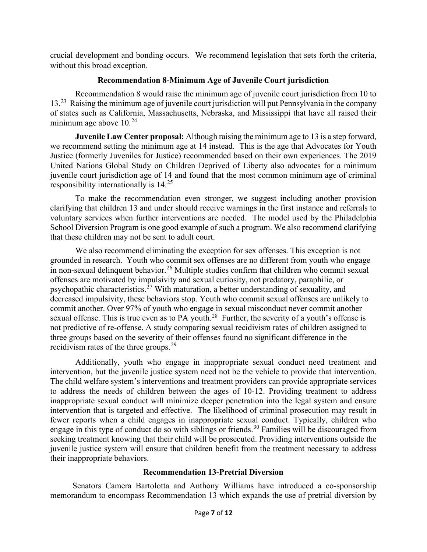crucial development and bonding occurs. We recommend legislation that sets forth the criteria, without this broad exception.

#### **Recommendation 8-Minimum Age of Juvenile Court jurisdiction**

Recommendation 8 would raise the minimum age of juvenile court jurisdiction from 10 to 13.<sup>23</sup> Raising the minimum age of juvenile court jurisdiction will put Pennsylvania in the company of states such as California, Massachusetts, Nebraska, and Mississippi that have all raised their minimum age above  $10^{24}$ 

**Juvenile Law Center proposal:** Although raising the minimum age to 13 is a step forward, we recommend setting the minimum age at 14 instead. This is the age that Advocates for Youth Justice (formerly Juveniles for Justice) recommended based on their own experiences. The 2019 United Nations Global Study on Children Deprived of Liberty also advocates for a minimum juvenile court jurisdiction age of 14 and found that the most common minimum age of criminal responsibility internationally is 14.[25](#page-10-9)

To make the recommendation even stronger, we suggest including another provision clarifying that children 13 and under should receive warnings in the first instance and referrals to voluntary services when further interventions are needed. The model used by the Philadelphia School Diversion Program is one good example of such a program. We also recommend clarifying that these children may not be sent to adult court.

We also recommend eliminating the exception for sex offenses. This exception is not grounded in research. Youth who commit sex offenses are no different from youth who engage in non-sexual delinquent behavior.<sup>[26](#page-10-10)</sup> Multiple studies confirm that children who commit sexual offenses are motivated by impulsivity and sexual curiosity, not predatory, paraphilic, or psychopathic characteristics.<sup>[27](#page-10-11)</sup> With maturation, a better understanding of sexuality, and decreased impulsivity, these behaviors stop. Youth who commit sexual offenses are unlikely to commit another. Over 97% of youth who engage in sexual misconduct never commit another sexual offense. This is true even as to PA youth.<sup>[28](#page-10-12)</sup> Further, the severity of a youth's offense is not predictive of re-offense. A study comparing sexual recidivism rates of children assigned to three groups based on the severity of their offenses found no significant difference in the recidivism rates of the three groups.<sup>[29](#page-10-13)</sup>

Additionally, youth who engage in inappropriate sexual conduct need treatment and intervention, but the juvenile justice system need not be the vehicle to provide that intervention. The child welfare system's interventions and treatment providers can provide appropriate services to address the needs of children between the ages of 10-12. Providing treatment to address inappropriate sexual conduct will minimize deeper penetration into the legal system and ensure intervention that is targeted and effective. The likelihood of criminal prosecution may result in fewer reports when a child engages in inappropriate sexual conduct. Typically, children who engage in this type of conduct do so with siblings or friends.<sup>[30](#page-10-14)</sup> Families will be discouraged from seeking treatment knowing that their child will be prosecuted. Providing interventions outside the juvenile justice system will ensure that children benefit from the treatment necessary to address their inappropriate behaviors.

#### **Recommendation 13-Pretrial Diversion**

Senators Camera Bartolotta and Anthony Williams have introduced a co-sponsorship memorandum to encompass Recommendation 13 which expands the use of pretrial diversion by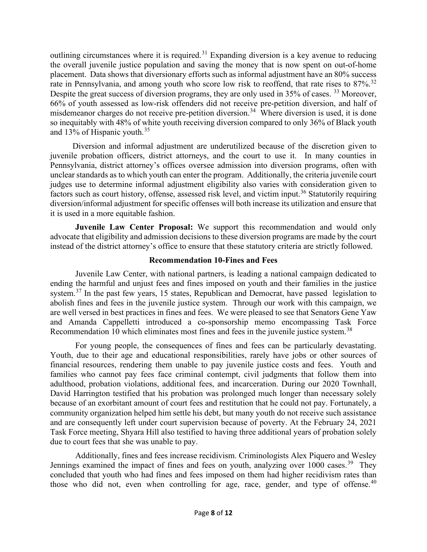outlining circumstances where it is required.<sup>[31](#page-10-15)</sup> Expanding diversion is a key avenue to reducing the overall juvenile justice population and saving the money that is now spent on out-of-home placement. Data shows that diversionary efforts such as informal adjustment have an 80% success rate in Pennsylvania, and among youth who score low risk to reoffend, that rate rises to 87%.<sup>[32](#page-11-0)</sup> Despite the great success of diversion programs, they are only used in 35% of cases. <sup>[33](#page-11-1)</sup> Moreover, 66% of youth assessed as low-risk offenders did not receive pre-petition diversion, and half of misdemeanor charges do not receive pre-petition diversion.<sup>34</sup> Where diversion is used, it is done so inequitably with 48% of white youth receiving diversion compared to only 36% of Black youth and 13% of Hispanic youth.[35](#page-11-3)

Diversion and informal adjustment are underutilized because of the discretion given to juvenile probation officers, district attorneys, and the court to use it. In many counties in Pennsylvania, district attorney's offices oversee admission into diversion programs, often with unclear standards as to which youth can enter the program. Additionally, the criteria juvenile court judges use to determine informal adjustment eligibility also varies with consideration given to factors such as court history, offense, assessed risk level, and victim input.<sup>[36](#page-11-4)</sup> Statutorily requiring diversion/informal adjustment for specific offenses will both increase its utilization and ensure that it is used in a more equitable fashion.

**Juvenile Law Center Proposal:** We support this recommendation and would only advocate that eligibility and admission decisions to these diversion programs are made by the court instead of the district attorney's office to ensure that these statutory criteria are strictly followed.

#### **Recommendation 10-Fines and Fees**

Juvenile Law Center, with national partners, is leading a national campaign dedicated to ending the harmful and unjust fees and fines imposed on youth and their families in the justice system.<sup>[37](#page-11-5)</sup> In the past few years, 15 states, Republican and Democrat, have passed legislation to abolish fines and fees in the juvenile justice system. Through our work with this campaign, we are well versed in best practices in fines and fees. We were pleased to see that Senators Gene Yaw and Amanda Cappelletti introduced a co-sponsorship memo encompassing Task Force Recommendation 10 which eliminates most fines and fees in the juvenile justice system.<sup>[38](#page-11-6)</sup>

For young people, the consequences of fines and fees can be particularly devastating. Youth, due to their age and educational responsibilities, rarely have jobs or other sources of financial resources, rendering them unable to pay juvenile justice costs and fees. Youth and families who cannot pay fees face criminal contempt, civil judgments that follow them into adulthood, probation violations, additional fees, and incarceration. During our 2020 Townhall, David Harrington testified that his probation was prolonged much longer than necessary solely because of an exorbitant amount of court fees and restitution that he could not pay. Fortunately, a community organization helped him settle his debt, but many youth do not receive such assistance and are consequently left under court supervision because of poverty. At the February 24, 2021 Task Force meeting, Shyara Hill also testified to having three additional years of probation solely due to court fees that she was unable to pay.

Additionally, fines and fees increase recidivism. Criminologists Alex Piquero and Wesley Jennings examined the impact of fines and fees on youth, analyzing over 1000 cases.<sup>39</sup> They concluded that youth who had fines and fees imposed on them had higher recidivism rates than those who did not, even when controlling for age, race, gender, and type of offense. $40$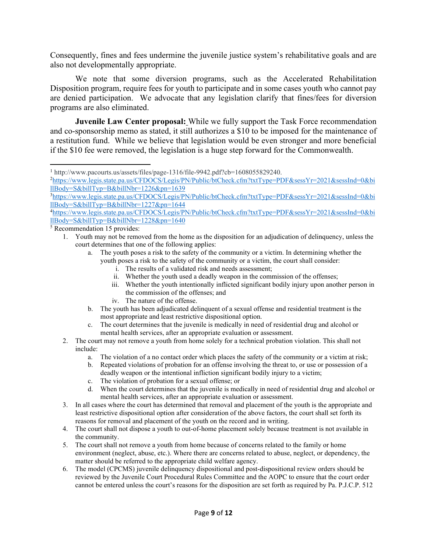Consequently, fines and fees undermine the juvenile justice system's rehabilitative goals and are also not developmentally appropriate.

We note that some diversion programs, such as the Accelerated Rehabilitation Disposition program, require fees for youth to participate and in some cases youth who cannot pay are denied participation. We advocate that any legislation clarify that fines/fees for diversion programs are also eliminated.

**Juvenile Law Center proposal:** While we fully support the Task Force recommendation and co-sponsorship memo as stated, it still authorizes a \$10 to be imposed for the maintenance of a restitution fund. While we believe that legislation would be even stronger and more beneficial if the \$10 fee were removed, the legislation is a huge step forward for the Commonwealth.

<span id="page-8-4"></span><sup>5</sup> Recommendation 15 provides:

- i. The results of a validated risk and needs assessment;
- ii. Whether the youth used a deadly weapon in the commission of the offenses;
- iii. Whether the youth intentionally inflicted significant bodily injury upon another person in the commission of the offenses; and
- iv. The nature of the offense.
- b. The youth has been adjudicated delinquent of a sexual offense and residential treatment is the most appropriate and least restrictive dispositional option.
- c. The court determines that the juvenile is medically in need of residential drug and alcohol or mental health services, after an appropriate evaluation or assessment.
- 2. The court may not remove a youth from home solely for a technical probation violation. This shall not include:
	- a. The violation of a no contact order which places the safety of the community or a victim at risk;
	- b. Repeated violations of probation for an offense involving the threat to, or use or possession of a deadly weapon or the intentional infliction significant bodily injury to a victim;
	- c. The violation of probation for a sexual offense; or
	- d. When the court determines that the juvenile is medically in need of residential drug and alcohol or mental health services, after an appropriate evaluation or assessment.
- 3. In all cases where the court has determined that removal and placement of the youth is the appropriate and least restrictive dispositional option after consideration of the above factors, the court shall set forth its reasons for removal and placement of the youth on the record and in writing.
- 4. The court shall not dispose a youth to out-of-home placement solely because treatment is not available in the community.
- 5. The court shall not remove a youth from home because of concerns related to the family or home environment (neglect, abuse, etc.). Where there are concerns related to abuse, neglect, or dependency, the matter should be referred to the appropriate child welfare agency.
- 6. The model (CPCMS) juvenile delinquency dispositional and post-dispositional review orders should be reviewed by the Juvenile Court Procedural Rules Committee and the AOPC to ensure that the court order cannot be entered unless the court's reasons for the disposition are set forth as required by Pa. P.J.C.P. 512

<span id="page-8-0"></span><sup>1</sup> http://www.pacourts.us/assets/files/page-1316/file-9942.pdf?cb=1608055829240.

<span id="page-8-1"></span><sup>2</sup> [https://www.legis.state.pa.us/CFDOCS/Legis/PN/Public/btCheck.cfm?txtType=PDF&sessYr=2021&sessInd=0&bi](https://www.legis.state.pa.us/CFDOCS/Legis/PN/Public/btCheck.cfm?txtType=PDF&sessYr=2021&sessInd=0&billBody=S&billTyp=B&billNbr=1226&pn=1639) [llBody=S&billTyp=B&billNbr=1226&pn=1639](https://www.legis.state.pa.us/CFDOCS/Legis/PN/Public/btCheck.cfm?txtType=PDF&sessYr=2021&sessInd=0&billBody=S&billTyp=B&billNbr=1226&pn=1639)

<span id="page-8-2"></span><sup>3</sup> [https://www.legis.state.pa.us/CFDOCS/Legis/PN/Public/btCheck.cfm?txtType=PDF&sessYr=2021&sessInd=0&bi](https://www.legis.state.pa.us/CFDOCS/Legis/PN/Public/btCheck.cfm?txtType=PDF&sessYr=2021&sessInd=0&billBody=S&billTyp=B&billNbr=1227&pn=1644) [llBody=S&billTyp=B&billNbr=1227&pn=1644](https://www.legis.state.pa.us/CFDOCS/Legis/PN/Public/btCheck.cfm?txtType=PDF&sessYr=2021&sessInd=0&billBody=S&billTyp=B&billNbr=1227&pn=1644)

<span id="page-8-3"></span><sup>4</sup> [https://www.legis.state.pa.us/CFDOCS/Legis/PN/Public/btCheck.cfm?txtType=PDF&sessYr=2021&sessInd=0&bi](https://www.legis.state.pa.us/CFDOCS/Legis/PN/Public/btCheck.cfm?txtType=PDF&sessYr=2021&sessInd=0&billBody=S&billTyp=B&billNbr=1228&pn=1640) [llBody=S&billTyp=B&billNbr=1228&pn=1640](https://www.legis.state.pa.us/CFDOCS/Legis/PN/Public/btCheck.cfm?txtType=PDF&sessYr=2021&sessInd=0&billBody=S&billTyp=B&billNbr=1228&pn=1640)

<sup>1.</sup> Youth may not be removed from the home as the disposition for an adjudication of delinquency, unless the court determines that one of the following applies:

a. The youth poses a risk to the safety of the community or a victim. In determining whether the youth poses a risk to the safety of the community or a victim, the court shall consider: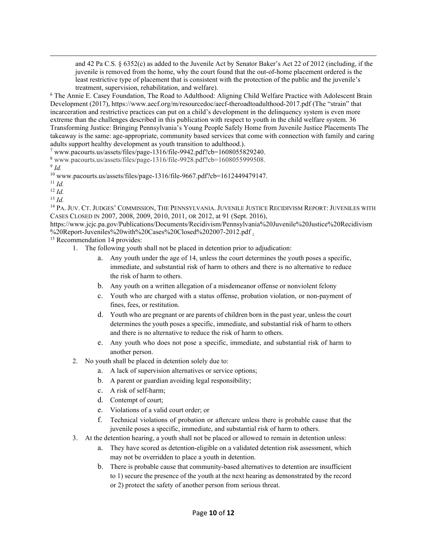and 42 Pa C.S. § 6352(c) as added to the Juvenile Act by Senator Baker's Act 22 of 2012 (including, if the juvenile is removed from the home, why the court found that the out-of-home placement ordered is the least restrictive type of placement that is consistent with the protection of the public and the juvenile's treatment, supervision, rehabilitation, and welfare).

<span id="page-9-0"></span><sup>6</sup> The Annie E. Casey Foundation, The Road to Adulthood: Aligning Child Welfare Practice with Adolescent Brain Development (2017), https://www.aecf.org/m/resourcedoc/aecf-theroadtoadulthood-2017.pdf (The "strain" that incarceration and restrictive practices can put on a child's development in the delinquency system is even more extreme than the challenges described in this publication with respect to youth in the child welfare system. 36 Transforming Justice: Bringing Pennsylvania's Young People Safely Home from Juvenile Justice Placements The takeaway is the same: age-appropriate, community based services that come with connection with family and caring adults support healthy development as youth transition to adulthood.).

<span id="page-9-1"></span> $7$  www.pacourts.us/assets/files/page-1316/file-9942.pdf?cb=1608055829240.

<span id="page-9-2"></span><sup>8</sup> www.pacourts.us/assets/files/page-1316/file-9928.pdf?cb=1608055999508.

<span id="page-9-4"></span><span id="page-9-3"></span><sup>9</sup> *Id.*

<sup>10</sup> www.pacourts.us/assets/files/page-1316/file-9667.pdf?cb=1612449479147.

<span id="page-9-5"></span><sup>11</sup> *Id.*

<span id="page-9-6"></span><sup>12</sup> *Id.*

<span id="page-9-7"></span><sup>13</sup> *Id.*

<span id="page-9-8"></span><sup>14</sup> PA. JUV. CT. JUDGES' COMMISSION, THE PENNSYLVANIA. JUVENILE JUSTICE RECIDIVISM REPORT: JUVENILES WITH CASES CLOSED IN 2007, 2008, 2009, 2010, 2011, OR 2012, at 91 (Sept. 2016),

<span id="page-9-9"></span>https://www.jcjc.pa.gov/Publications/Documents/Recidivism/Pennsylvania%20Juvenile%20Justice%20Recidivism %20Report-Juveniles%20with%20Cases%20Closed%202007-2012.pdf . 15 Recommendation 14 provides:

- 1. The following youth shall not be placed in detention prior to adjudication:
	- a. Any youth under the age of 14, unless the court determines the youth poses a specific, immediate, and substantial risk of harm to others and there is no alternative to reduce the risk of harm to others.
	- b. Any youth on a written allegation of a misdemeanor offense or nonviolent felony
	- c. Youth who are charged with a status offense, probation violation, or non-payment of fines, fees, or restitution.
	- d. Youth who are pregnant or are parents of children born in the past year, unless the court determines the youth poses a specific, immediate, and substantial risk of harm to others and there is no alternative to reduce the risk of harm to others.
	- e. Any youth who does not pose a specific, immediate, and substantial risk of harm to another person.
- 2. No youth shall be placed in detention solely due to:
	- a. A lack of supervision alternatives or service options;
	- b. A parent or guardian avoiding legal responsibility;
	- c. A risk of self-harm;
	- d. Contempt of court;
	- e. Violations of a valid court order; or
	- f. Technical violations of probation or aftercare unless there is probable cause that the juvenile poses a specific, immediate, and substantial risk of harm to others.
- 3. At the detention hearing, a youth shall not be placed or allowed to remain in detention unless:
	- a. They have scored as detention-eligible on a validated detention risk assessment, which may not be overridden to place a youth in detention.
	- b. There is probable cause that community-based alternatives to detention are insufficient to 1) secure the presence of the youth at the next hearing as demonstrated by the record or 2) protect the safety of another person from serious threat.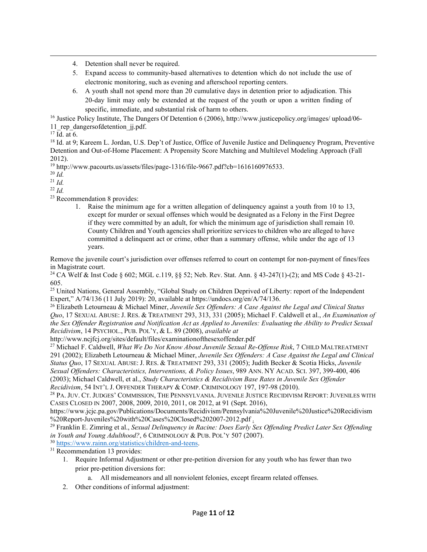- 4. Detention shall never be required.
- 5. Expand access to community-based alternatives to detention which do not include the use of electronic monitoring, such as evening and afterschool reporting centers.
- 6. A youth shall not spend more than 20 cumulative days in detention prior to adjudication. This 20-day limit may only be extended at the request of the youth or upon a written finding of specific, immediate, and substantial risk of harm to others.

<span id="page-10-0"></span><sup>16</sup> Justice Policy Institute, The Dangers Of Detention 6 (2006), http://www.justicepolicy.org/images/ upload/06- 11 rep dangersofdetention ji.pdf.

<span id="page-10-1"></span> $17 \overline{Id}$ . at 6.

<span id="page-10-2"></span><sup>18</sup> Id. at 9; Kareem L. Jordan, U.S. Dep't of Justice, Office of Juvenile Justice and Delinquency Program, Preventive Detention and Out-of-Home Placement: A Propensity Score Matching and Multilevel Modeling Approach (Fall 2012).

<span id="page-10-3"></span><sup>19</sup> http://www.pacourts.us/assets/files/page-1316/file-9667.pdf?cb=1616160976533.

<span id="page-10-4"></span><sup>20</sup> *Id.*

<span id="page-10-5"></span><sup>21</sup> *Id.*

<span id="page-10-6"></span><sup>22</sup> *Id.*

<span id="page-10-7"></span><sup>23</sup> Recommendation 8 provides:

1. Raise the minimum age for a written allegation of delinquency against a youth from 10 to 13, except for murder or sexual offenses which would be designated as a Felony in the First Degree if they were committed by an adult, for which the minimum age of jurisdiction shall remain 10. County Children and Youth agencies shall prioritize services to children who are alleged to have committed a delinquent act or crime, other than a summary offense, while under the age of 13 years.

Remove the juvenile court's jurisdiction over offenses referred to court on contempt for non-payment of fines/fees in Magistrate court.

<span id="page-10-8"></span><sup>24</sup> CA Welf & Inst Code § 602; MGL c.119, §§ 52; Neb. Rev. Stat. Ann. § 43-247(1)-(2); and MS Code § 43-21-

<span id="page-10-9"></span>605. 25 United Nations, General Assembly, "Global Study on Children Deprived of Liberty: report of the Independent Expert," A/74/136 (11 July 2019): 20, available at https://undocs.org/en/A/74/136.

<span id="page-10-10"></span><sup>26</sup> Elizabeth Letourneau & Michael Miner, *Juvenile Sex Offenders: A Case Against the Legal and Clinical Status Quo*, 17 SEXUAL ABUSE: J. RES. & TREATMENT 293, 313, 331 (2005); Michael F. Caldwell et al., *An Examination of the Sex Offender Registration and Notification Act as Applied to Juveniles: Evaluating the Ability to Predict Sexual Recidivism*, 14 PSYCHOL., PUB. POL'Y, & L. 89 (2008), *available at* 

http://www.ncjfcj.org/sites/default/files/examinationofthesexoffender.pdf

<span id="page-10-11"></span><sup>27</sup> Michael F. Caldwell, *What We Do Not Know About Juvenile Sexual Re-Offense Risk*, 7 CHILD MALTREATMENT 291 (2002); Elizabeth Letourneau & Michael Miner, *Juvenile Sex Offenders: A Case Against the Legal and Clinical Status Quo*, 17 SEXUAL ABUSE: J. RES. & TREATMENT 293, 331 (2005); Judith Becker & Scotia Hicks, *Juvenile Sexual Offenders: Characteristics, Interventions, & Policy Issues*, 989 ANN. NY ACAD. SCI. 397, 399-400, 406 (2003); Michael Caldwell, et al., *Study Characteristics & Recidivism Base Rates in Juvenile Sex Offender Recidivism*, 54 INT'L J. OFFENDER THERAPY & COMP. CRIMINOLOGY 197, 197-98 (2010).

<span id="page-10-12"></span><sup>28</sup> PA. JUV. CT. JUDGES' COMMISSION, THE PENNSYLVANIA. JUVENILE JUSTICE RECIDIVISM REPORT: JUVENILES WITH CASES CLOSED IN 2007, 2008, 2009, 2010, 2011, OR 2012, at 91 (Sept. 2016),

https://www.jcjc.pa.gov/Publications/Documents/Recidivism/Pennsylvania%20Juvenile%20Justice%20Recidivism

<span id="page-10-13"></span><sup>29</sup> Franklin E. Zimring et al., *Sexual Delinquency in Racine: Does Early Sex Offending Predict Later Sex Offending in Youth and Young Adulthood?*, 6 CRIMINOLOGY & PUB. POL'Y 507 (2007).

<span id="page-10-15"></span><span id="page-10-14"></span><sup>30</sup> [https://www.rainn.org/statistics/children-and-teens.](https://www.rainn.org/statistics/children-and-teens)<br><sup>31</sup> Recommendation 13 provides:

- 1. Require Informal Adjustment or other pre-petition diversion for any youth who has fewer than two prior pre-petition diversions for:
	- a. All misdemeanors and all nonviolent felonies, except firearm related offenses.
- 2. Other conditions of informal adjustment: